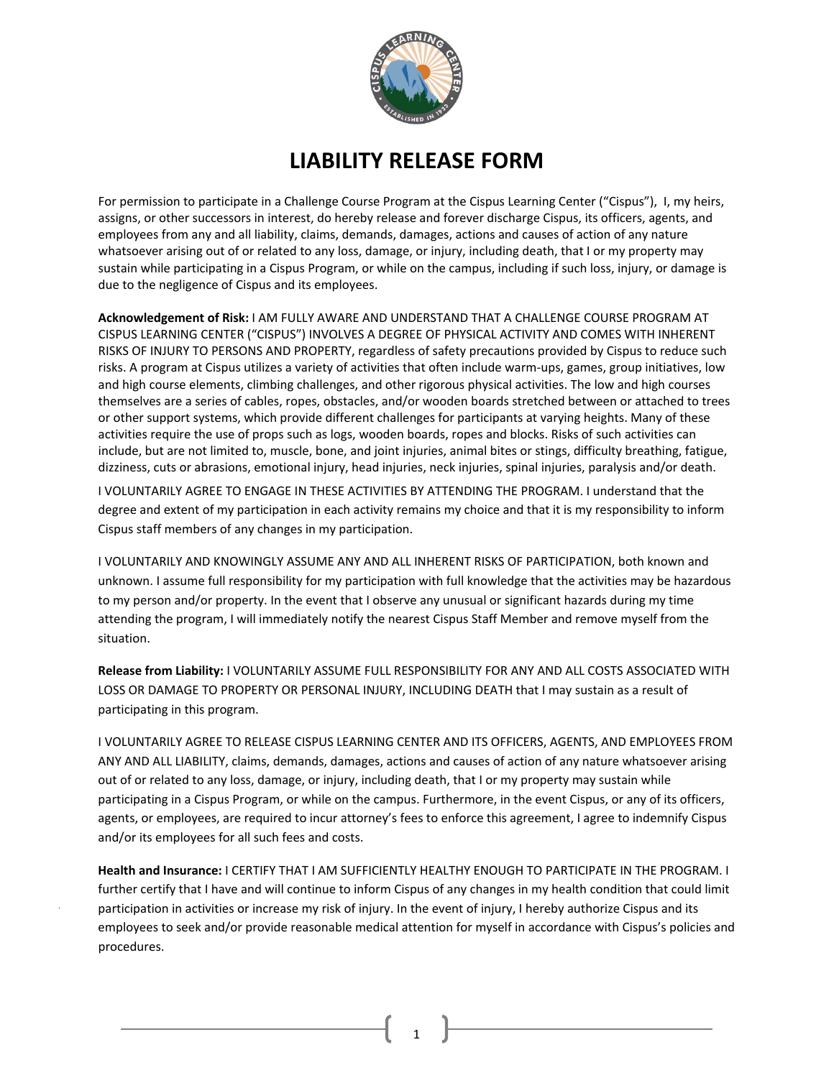

## **LIABILITY RELEASE FORM**

For permission to participate in a Challenge Course Program at the Cispus Learning Center ("Cispus"), I, my heirs, assigns, or other successors in interest, do hereby release and forever discharge Cispus, its officers, agents, and employees from any and all liability, claims, demands, damages, actions and causes of action of any nature whatsoever arising out of or related to any loss, damage, or injury, including death, that I or my property may sustain while participating in a Cispus Program, or while on the campus, including if such loss, injury, or damage is due to the negligence of Cispus and its employees.

**Acknowledgement of Risk:** I AM FULLY AWARE AND UNDERSTAND THAT A CHALLENGE COURSE PROGRAM AT CISPUS LEARNING CENTER ("CISPUS") INVOLVES A DEGREE OF PHYSICAL ACTIVITY AND COMES WITH INHERENT RISKS OF INJURY TO PERSONS AND PROPERTY, regardless of safety precautions provided by Cispus to reduce such risks. A program at Cispus utilizes a variety of activities that often include warm-ups, games, group initiatives, low and high course elements, climbing challenges, and other rigorous physical activities. The low and high courses themselves are a series of cables, ropes, obstacles, and/or wooden boards stretched between or attached to trees or other support systems, which provide different challenges for participants at varying heights. Many of these activities require the use of props such as logs, wooden boards, ropes and blocks. Risks of such activities can include, but are not limited to, muscle, bone, and joint injuries, animal bites or stings, difficulty breathing, fatigue, dizziness, cuts or abrasions, emotional injury, head injuries, neck injuries, spinal injuries, paralysis and/or death.

I VOLUNTARILY AGREE TO ENGAGE IN THESE ACTIVITIES BY ATTENDING THE PROGRAM. I understand that the degree and extent of my participation in each activity remains my choice and that it is my responsibility to inform Cispus staff members of any changes in my participation.

I VOLUNTARILY AND KNOWINGLY ASSUME ANY AND ALL INHERENT RISKS OF PARTICIPATION, both known and unknown. I assume full responsibility for my participation with full knowledge that the activities may be hazardous to my person and/or property. In the event that I observe any unusual or significant hazards during my time attending the program, I will immediately notify the nearest Cispus Staff Member and remove myself from the situation.

**Release from Liability:** I VOLUNTARILY ASSUME FULL RESPONSIBILITY FOR ANY AND ALL COSTS ASSOCIATED WITH LOSS OR DAMAGE TO PROPERTY OR PERSONAL INJURY, INCLUDING DEATH that I may sustain as a result of participating in this program.

I VOLUNTARILY AGREE TO RELEASE CISPUS LEARNING CENTER AND ITS OFFICERS, AGENTS, AND EMPLOYEES FROM ANY AND ALL LIABILITY, claims, demands, damages, actions and causes of action of any nature whatsoever arising out of or related to any loss, damage, or injury, including death, that I or my property may sustain while participating in a Cispus Program, or while on the campus. Furthermore, in the event Cispus, or any of its officers, agents, or employees, are required to incur attorney's fees to enforce this agreement, I agree to indemnify Cispus and/or its employees for all such fees and costs.

**Health and Insurance:** I CERTIFY THAT I AM SUFFICIENTLY HEALTHY ENOUGH TO PARTICIPATE IN THE PROGRAM. I further certify that I have and will continue to inform Cispus of any changes in my health condition that could limit participation in activities or increase my risk of injury. In the event of injury, I hereby authorize Cispus and its employees to seek and/or provide reasonable medical attention for myself in accordance with Cispus's policies and procedures.

1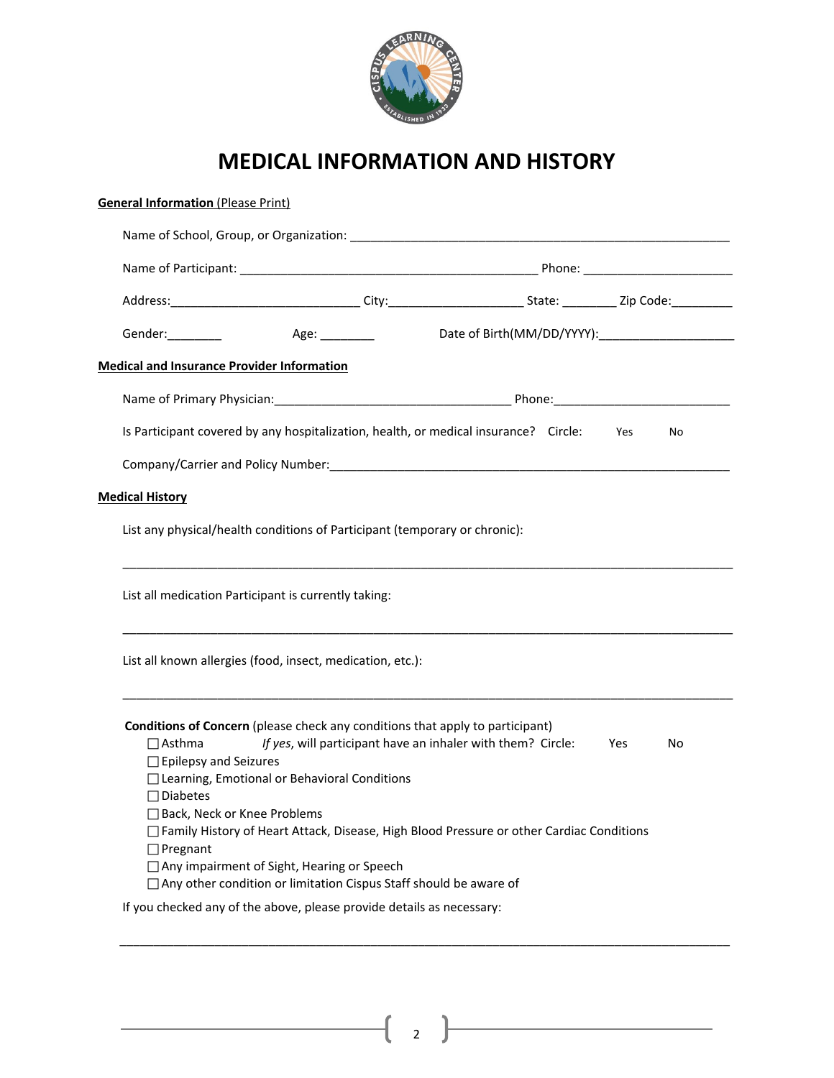

# **MEDICAL INFORMATION AND HISTORY**

| Gender:_________<br>Age: __________<br><b>Medical and Insurance Provider Information</b><br>Is Participant covered by any hospitalization, health, or medical insurance? Circle: Yes<br>No<br><b>Medical History</b><br>List any physical/health conditions of Participant (temporary or chronic):<br>List all medication Participant is currently taking:<br>List all known allergies (food, insect, medication, etc.):<br><b>Conditions of Concern</b> (please check any conditions that apply to participant)<br>If yes, will participant have an inhaler with them? Circle:<br>$\Box$ Asthma<br>Yes<br>No<br>$\Box$ Epilepsy and Seizures<br>□ Learning, Emotional or Behavioral Conditions<br>$\Box$ Diabetes<br>□ Back, Neck or Knee Problems<br>□ Family History of Heart Attack, Disease, High Blood Pressure or other Cardiac Conditions<br>$\Box$ Pregnant<br>□ Any impairment of Sight, Hearing or Speech<br>□ Any other condition or limitation Cispus Staff should be aware of<br>If you checked any of the above, please provide details as necessary: |  |  |
|----------------------------------------------------------------------------------------------------------------------------------------------------------------------------------------------------------------------------------------------------------------------------------------------------------------------------------------------------------------------------------------------------------------------------------------------------------------------------------------------------------------------------------------------------------------------------------------------------------------------------------------------------------------------------------------------------------------------------------------------------------------------------------------------------------------------------------------------------------------------------------------------------------------------------------------------------------------------------------------------------------------------------------------------------------------------|--|--|
|                                                                                                                                                                                                                                                                                                                                                                                                                                                                                                                                                                                                                                                                                                                                                                                                                                                                                                                                                                                                                                                                      |  |  |
|                                                                                                                                                                                                                                                                                                                                                                                                                                                                                                                                                                                                                                                                                                                                                                                                                                                                                                                                                                                                                                                                      |  |  |
|                                                                                                                                                                                                                                                                                                                                                                                                                                                                                                                                                                                                                                                                                                                                                                                                                                                                                                                                                                                                                                                                      |  |  |
|                                                                                                                                                                                                                                                                                                                                                                                                                                                                                                                                                                                                                                                                                                                                                                                                                                                                                                                                                                                                                                                                      |  |  |
|                                                                                                                                                                                                                                                                                                                                                                                                                                                                                                                                                                                                                                                                                                                                                                                                                                                                                                                                                                                                                                                                      |  |  |
|                                                                                                                                                                                                                                                                                                                                                                                                                                                                                                                                                                                                                                                                                                                                                                                                                                                                                                                                                                                                                                                                      |  |  |
|                                                                                                                                                                                                                                                                                                                                                                                                                                                                                                                                                                                                                                                                                                                                                                                                                                                                                                                                                                                                                                                                      |  |  |
|                                                                                                                                                                                                                                                                                                                                                                                                                                                                                                                                                                                                                                                                                                                                                                                                                                                                                                                                                                                                                                                                      |  |  |
|                                                                                                                                                                                                                                                                                                                                                                                                                                                                                                                                                                                                                                                                                                                                                                                                                                                                                                                                                                                                                                                                      |  |  |
|                                                                                                                                                                                                                                                                                                                                                                                                                                                                                                                                                                                                                                                                                                                                                                                                                                                                                                                                                                                                                                                                      |  |  |
|                                                                                                                                                                                                                                                                                                                                                                                                                                                                                                                                                                                                                                                                                                                                                                                                                                                                                                                                                                                                                                                                      |  |  |
|                                                                                                                                                                                                                                                                                                                                                                                                                                                                                                                                                                                                                                                                                                                                                                                                                                                                                                                                                                                                                                                                      |  |  |
|                                                                                                                                                                                                                                                                                                                                                                                                                                                                                                                                                                                                                                                                                                                                                                                                                                                                                                                                                                                                                                                                      |  |  |
|                                                                                                                                                                                                                                                                                                                                                                                                                                                                                                                                                                                                                                                                                                                                                                                                                                                                                                                                                                                                                                                                      |  |  |
|                                                                                                                                                                                                                                                                                                                                                                                                                                                                                                                                                                                                                                                                                                                                                                                                                                                                                                                                                                                                                                                                      |  |  |
|                                                                                                                                                                                                                                                                                                                                                                                                                                                                                                                                                                                                                                                                                                                                                                                                                                                                                                                                                                                                                                                                      |  |  |
|                                                                                                                                                                                                                                                                                                                                                                                                                                                                                                                                                                                                                                                                                                                                                                                                                                                                                                                                                                                                                                                                      |  |  |
|                                                                                                                                                                                                                                                                                                                                                                                                                                                                                                                                                                                                                                                                                                                                                                                                                                                                                                                                                                                                                                                                      |  |  |
|                                                                                                                                                                                                                                                                                                                                                                                                                                                                                                                                                                                                                                                                                                                                                                                                                                                                                                                                                                                                                                                                      |  |  |
|                                                                                                                                                                                                                                                                                                                                                                                                                                                                                                                                                                                                                                                                                                                                                                                                                                                                                                                                                                                                                                                                      |  |  |

2  $\vert$ 

\_\_\_\_\_\_\_\_\_\_\_\_\_\_\_\_\_\_\_\_\_\_\_\_\_\_\_\_\_\_\_\_\_\_\_\_\_\_\_\_\_\_\_\_\_\_\_\_\_\_\_\_\_\_\_\_\_\_\_\_\_\_\_\_\_\_\_\_\_\_\_\_\_\_\_\_\_\_\_\_\_\_\_\_\_\_\_\_\_\_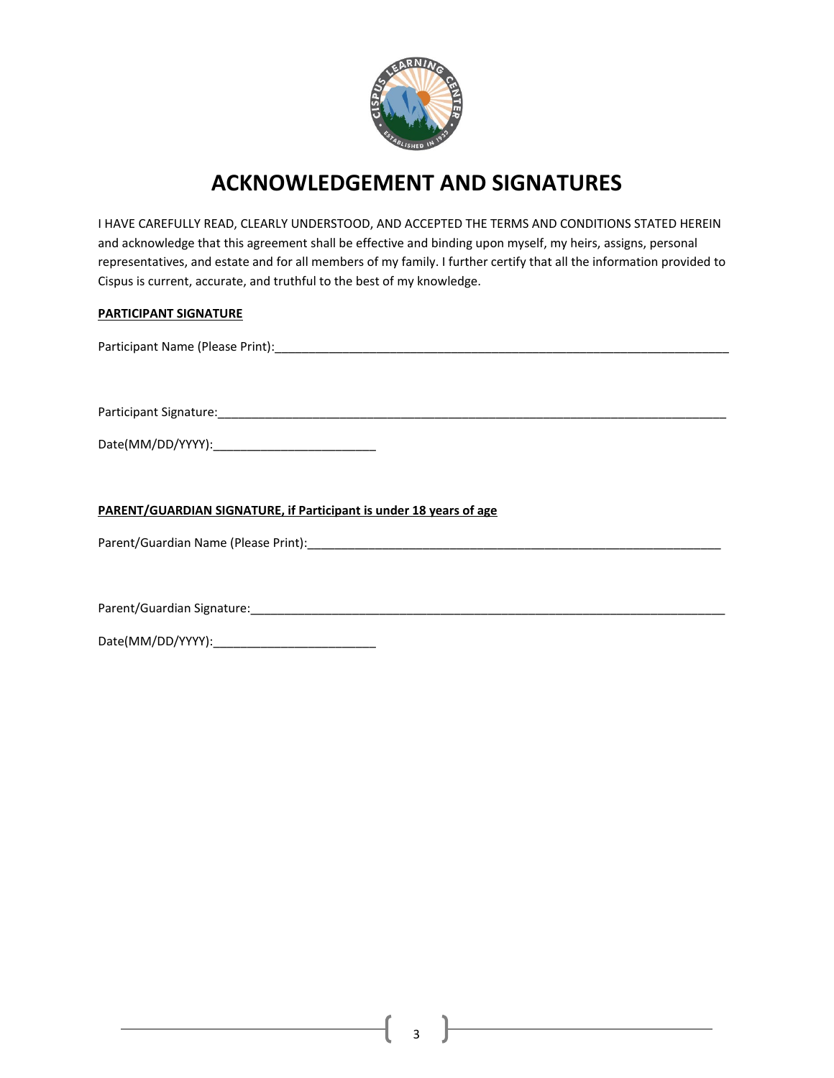

### **ACKNOWLEDGEMENT AND SIGNATURES**

I HAVE CAREFULLY READ, CLEARLY UNDERSTOOD, AND ACCEPTED THE TERMS AND CONDITIONS STATED HEREIN and acknowledge that this agreement shall be effective and binding upon myself, my heirs, assigns, personal representatives, and estate and for all members of my family. I further certify that all the information provided to Cispus is current, accurate, and truthful to the best of my knowledge.

#### **PARTICIPANT SIGNATURE**

Participant Name (Please Print):\_\_\_\_\_\_\_\_\_\_\_\_\_\_\_\_\_\_\_\_\_\_\_\_\_\_\_\_\_\_\_\_\_\_\_\_\_\_\_\_\_\_\_\_\_\_\_\_\_\_\_\_\_\_\_\_\_\_\_\_\_\_\_\_\_\_\_

Participant Signature:\_\_\_\_\_\_\_\_\_\_\_\_\_\_\_\_\_\_\_\_\_\_\_\_\_\_\_\_\_\_\_\_\_\_\_\_\_\_\_\_\_\_\_\_\_\_\_\_\_\_\_\_\_\_\_\_\_\_\_\_\_\_\_\_\_\_\_\_\_\_\_\_\_\_\_

Date(MM/DD/YYYY):\_\_\_\_\_\_\_\_\_\_\_\_\_\_\_\_\_\_\_\_\_\_\_\_

**PARENT/GUARDIAN SIGNATURE, if Participant is under 18 years of age** 

Parent/Guardian Name (Please Print):\_\_\_\_\_\_\_\_\_\_\_\_\_\_\_\_\_\_\_\_\_\_\_\_\_\_\_\_\_\_\_\_\_\_\_\_\_\_\_\_\_\_\_\_\_\_\_\_\_\_\_\_\_\_\_\_\_\_\_\_\_

Parent/Guardian Signature:\_\_\_\_\_\_\_\_\_\_\_\_\_\_\_\_\_\_\_\_\_\_\_\_\_\_\_\_\_\_\_\_\_\_\_\_\_\_\_\_\_\_\_\_\_\_\_\_\_\_\_\_\_\_\_\_\_\_\_\_\_\_\_\_\_\_\_\_\_\_

Date(MM/DD/YYYY):\_\_\_\_\_\_\_\_\_\_\_\_\_\_\_\_\_\_\_\_\_\_\_\_

3